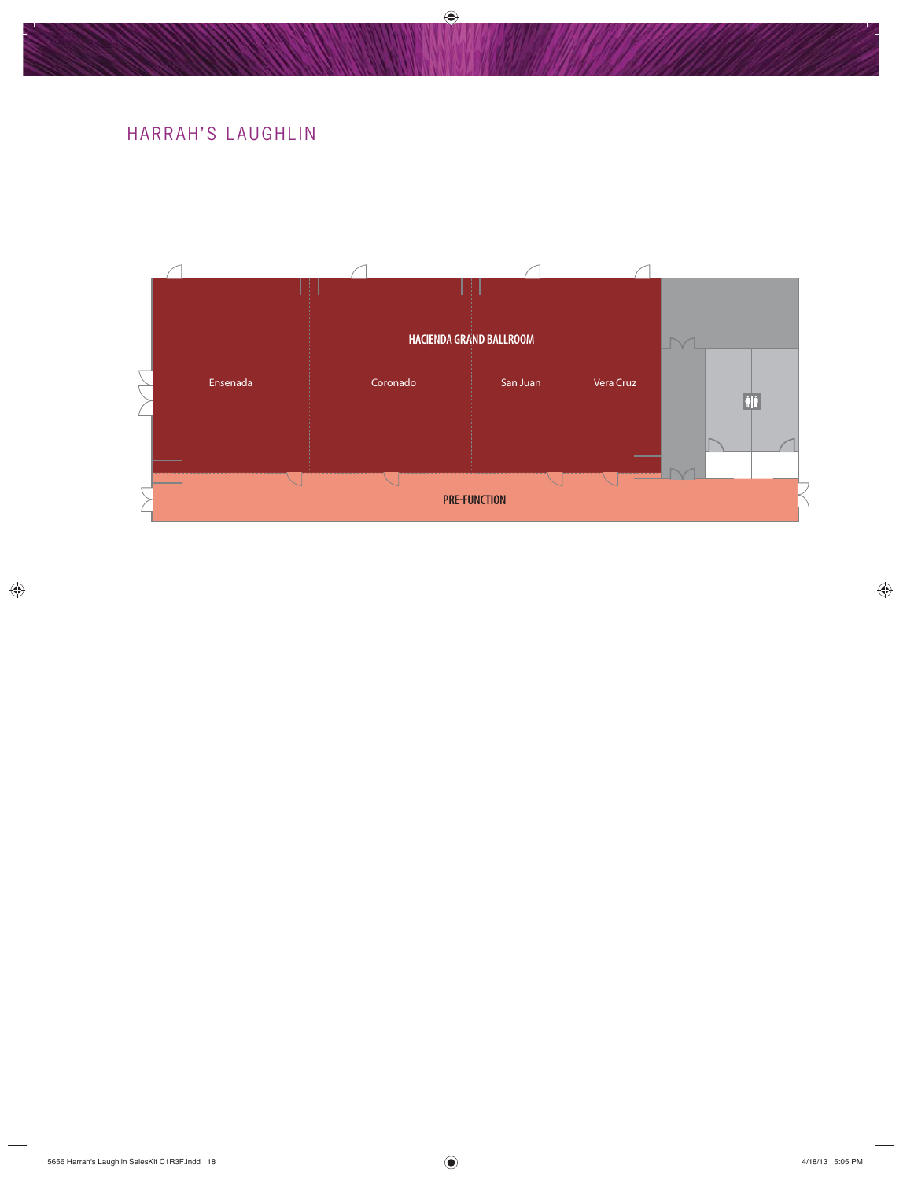## HARRAH'S LAUGHLIN